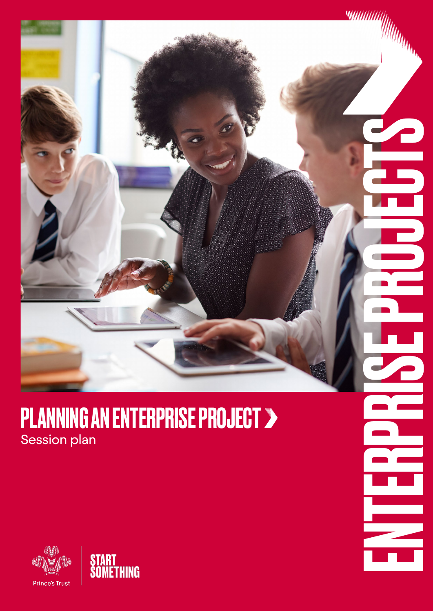

### PLANNING AN ENTERPRISE PROJECT > Session plan



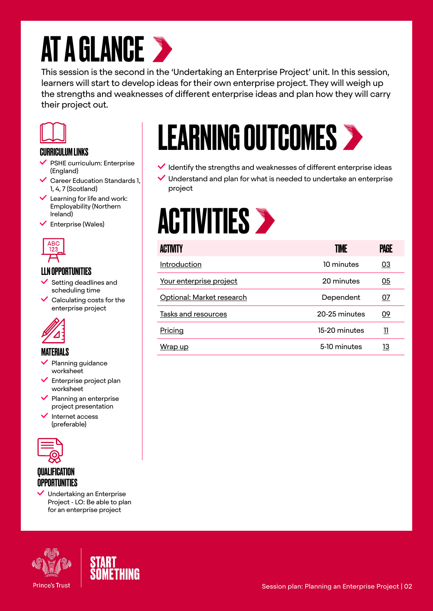### **AT A GLANCE >**

This session is the second in the 'Undertaking an Enterprise Project' unit. In this session, learners will start to develop ideas for their own enterprise project. They will weigh up the strengths and weaknesses of different enterprise ideas and plan how they will carry their project out.



#### CURRICULUM LINKS

- $\checkmark$  PSHE curriculum: Enterprise (England)
- Career Education Standards 1, 1, 4, 7 (Scotland)
- $\checkmark$  Learning for life and work: Employability (Northern Ireland)
- $\checkmark$  Enterprise (Wales)



#### LLN OPPORTUNITIES

- Setting deadlines and scheduling time
- $\checkmark$  Calculating costs for the enterprise project



- Planning guidance worksheet
- $\blacktriangleright$  Enterprise project plan worksheet
- $\blacktriangleright$  Planning an enterprise project presentation
- Internet access (preferable)



#### **QUALIFICATION OPPORTUNITIES**

 $\vee$  Undertaking an Enterprise Project - LO: Be able to plan for an enterprise project





## LEARNING OUTCOMES

- $\checkmark$  Identify the strengths and weaknesses of different enterprise ideas
- $\vee$  Understand and plan for what is needed to undertake an enterprise project

### **ACTIVITIES >**

| $\frac{ABC}{123}$                                                                                                                                       | <b>ACTIVITY</b>            | <b>TIME</b>   | <b>PAGE</b>             |  |
|---------------------------------------------------------------------------------------------------------------------------------------------------------|----------------------------|---------------|-------------------------|--|
| LLN OPPORTUNITIES<br>$\checkmark$ Setting deadlines and<br>scheduling time<br>$\checkmark$ Calculating costs for the<br>enterprise project<br>MATERIALS | Introduction               | 10 minutes    | 03                      |  |
|                                                                                                                                                         | Your enterprise project    | 20 minutes    | $\underline{05}$        |  |
|                                                                                                                                                         | Optional: Market research  | Dependent     | 07                      |  |
|                                                                                                                                                         | <b>Tasks and resources</b> | 20-25 minutes | <u>09</u>               |  |
|                                                                                                                                                         | Pricing                    | 15-20 minutes | $\overline{\mathbf{u}}$ |  |
|                                                                                                                                                         | Wrap up                    | 5-10 minutes  | <u> 13</u>              |  |
|                                                                                                                                                         |                            |               |                         |  |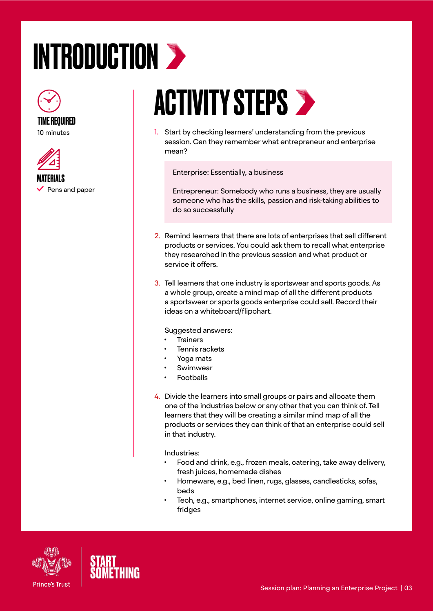## <span id="page-2-0"></span>INTRODUCTION >



10 minutes



MATERIALS  $\vee$  Pens and paper

### **ACTIVITY STEPS >**

1. Start by checking learners' understanding from the previous session. Can they remember what entrepreneur and enterprise mean?

Enterprise: Essentially, a business

Entrepreneur: Somebody who runs a business, they are usually someone who has the skills, passion and risk-taking abilities to do so successfully

- 2. Remind learners that there are lots of enterprises that sell different products or services. You could ask them to recall what enterprise they researched in the previous session and what product or service it offers.
- 3. Tell learners that one industry is sportswear and sports goods. As a whole group, create a mind map of all the different products a sportswear or sports goods enterprise could sell. Record their ideas on a whiteboard/flipchart.

Suggested answers:

- **Trainers**
- Tennis rackets
- Yoga mats
- **Swimwear**
- **Footballs**
- 4. Divide the learners into small groups or pairs and allocate them one of the industries below or any other that you can think of. Tell learners that they will be creating a similar mind map of all the products or services they can think of that an enterprise could sell in that industry.

Industries:

- Food and drink, e.g., frozen meals, catering, take away delivery, fresh juices, homemade dishes
- Homeware, e.g., bed linen, rugs, glasses, candlesticks, sofas, beds
- Tech, e.g., smartphones, internet service, online gaming, smart fridges



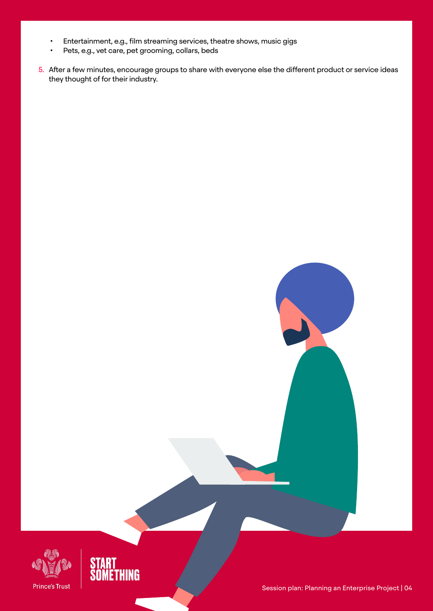- Entertainment, e.g., film streaming services, theatre shows, music gigs
- Pets, e.g., vet care, pet grooming, collars, beds
- 5. After a few minutes, encourage groups to share with everyone else the different product or service ideas they thought of for their industry.



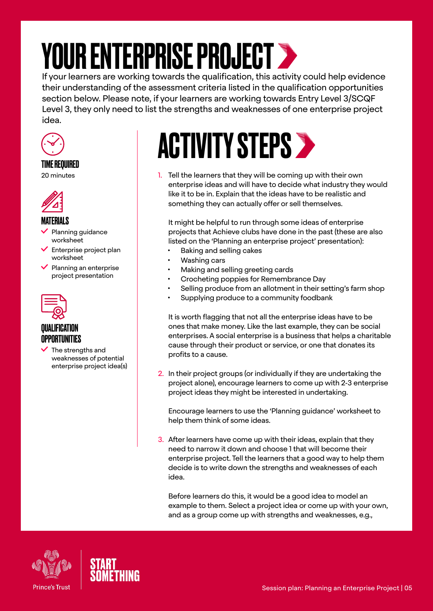### <span id="page-4-0"></span>YOUR ENTERPRISE PROJECT >

If your learners are working towards the qualification, this activity could help evidence their understanding of the assessment criteria listed in the qualification opportunities section below. Please note, if your learners are working towards Entry Level 3/SCQF Level 3, they only need to list the strengths and weaknesses of one enterprise project idea.



#### TIME REQUIRED 20 minutes



#### MATERIALS

- Planning guidance worksheet
- Enterprise project plan worksheet
- Planning an enterprise project presentation



#### QUALIFICATION OPPORTUNITIES

The strengths and weaknesses of potential enterprise project idea(s)

### **ACTIVITY STEPS >**

1. Tell the learners that they will be coming up with their own enterprise ideas and will have to decide what industry they would like it to be in. Explain that the ideas have to be realistic and something they can actually offer or sell themselves.

It might be helpful to run through some ideas of enterprise projects that Achieve clubs have done in the past (these are also listed on the 'Planning an enterprise project' presentation):

- Baking and selling cakes
- Washing cars
- Making and selling greeting cards
- Crocheting poppies for Remembrance Day
- Selling produce from an allotment in their setting's farm shop
- Supplying produce to a community foodbank

It is worth flagging that not all the enterprise ideas have to be ones that make money. Like the last example, they can be social enterprises. A social enterprise is a business that helps a charitable cause through their product or service, or one that donates its profits to a cause.

2. In their project groups (or individually if they are undertaking the project alone), encourage learners to come up with 2-3 enterprise project ideas they might be interested in undertaking.

Encourage learners to use the 'Planning guidance' worksheet to help them think of some ideas.

3. After learners have come up with their ideas, explain that they need to narrow it down and choose 1 that will become their enterprise project. Tell the learners that a good way to help them decide is to write down the strengths and weaknesses of each idea.

Before learners do this, it would be a good idea to model an example to them. Select a project idea or come up with your own, and as a group come up with strengths and weaknesses, e.g.,



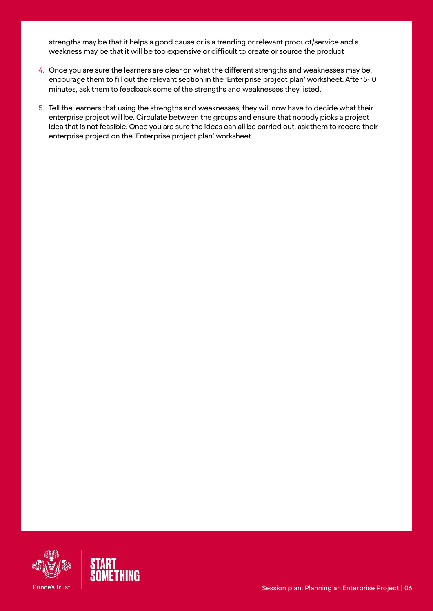strengths may be that it helps a good cause or is a trending or relevant product/service and a weakness may be that it will be too expensive or difficult to create or source the product

- 4. Once you are sure the learners are clear on what the different strengths and weaknesses may be, encourage them to fill out the relevant section in the 'Enterprise project plan' worksheet. After 5-10 minutes, ask them to feedback some of the strengths and weaknesses they listed.
- 5. Tell the learners that using the strengths and weaknesses, they will now have to decide what their enterprise project will be. Circulate between the groups and ensure that nobody picks a project idea that is not feasible. Once you are sure the ideas can all be carried out, ask them to record their enterprise project on the 'Enterprise project plan' worksheet.



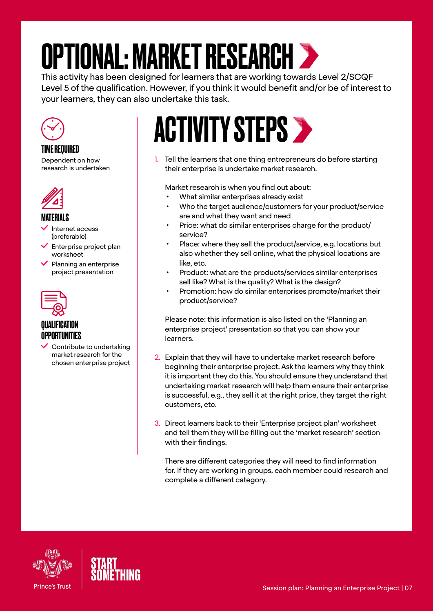### <span id="page-6-0"></span>OPTIONAL: MARKET RESEARCH

This activity has been designed for learners that are working towards Level 2/SCQF Level 5 of the qualification. However, if you think it would benefit and/or be of interest to your learners, they can also undertake this task.



TIME REQUIRED

Dependent on how research is undertaken



#### **MATFRIALS**

- Internet access (preferable)
- Enterprise project plan worksheet
- $\blacktriangleright$  Planning an enterprise project presentation



#### *OUALIFICATION* OPPORTUNITIES

 $\checkmark$  Contribute to undertaking market research for the chosen enterprise project

### ACTIVITY STEPS >

1. Tell the learners that one thing entrepreneurs do before starting their enterprise is undertake market research.

Market research is when you find out about:

- What similar enterprises already exist
- Who the target audience/customers for your product/service are and what they want and need
- Price: what do similar enterprises charge for the product/ service?
- Place: where they sell the product/service, e.g. locations but also whether they sell online, what the physical locations are like, etc.
- Product: what are the products/services similar enterprises sell like? What is the quality? What is the design?
- Promotion: how do similar enterprises promote/market their product/service?

Please note: this information is also listed on the 'Planning an enterprise project' presentation so that you can show your learners.

- 2. Explain that they will have to undertake market research before beginning their enterprise project. Ask the learners why they think it is important they do this. You should ensure they understand that undertaking market research will help them ensure their enterprise is successful, e.g., they sell it at the right price, they target the right customers, etc.
- 3. Direct learners back to their 'Enterprise project plan' worksheet and tell them they will be filling out the 'market research' section with their findings.

There are different categories they will need to find information for. If they are working in groups, each member could research and complete a different category.



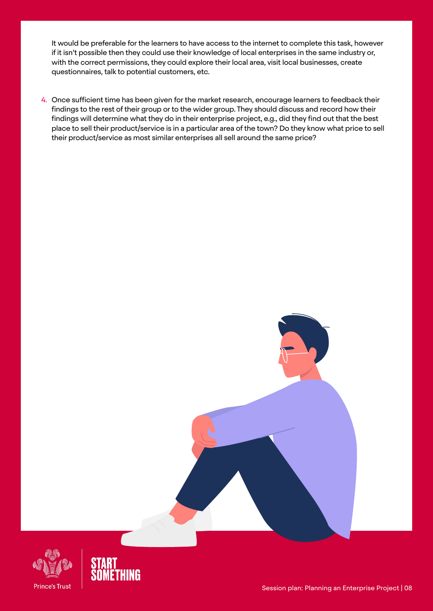It would be preferable for the learners to have access to the internet to complete this task, however if it isn't possible then they could use their knowledge of local enterprises in the same industry or, with the correct permissions, they could explore their local area, visit local businesses, create questionnaires, talk to potential customers, etc.

4. Once sufficient time has been given for the market research, encourage learners to feedback their findings to the rest of their group or to the wider group. They should discuss and record how their findings will determine what they do in their enterprise project, e.g., did they find out that the best place to sell their product/service is in a particular area of the town? Do they know what price to sell their product/service as most similar enterprises all sell around the same price?



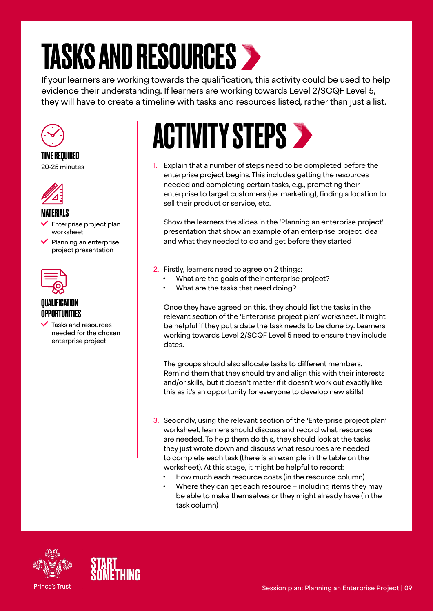### <span id="page-8-0"></span>TASKS AND RESOURCES

If your learners are working towards the qualification, this activity could be used to help evidence their understanding. If learners are working towards Level 2/SCQF Level 5, they will have to create a timeline with tasks and resources listed, rather than just a list.



TIME REQUIRED 20-25 minutes



#### MATERIALS

- Enterprise project plan worksheet
- $\vee$  Planning an enterprise project presentation



#### QUALIFICATION OPPORTUNITIES

 Tasks and resources needed for the chosen enterprise project

### **ACTIVITY STEPS >**

1. Explain that a number of steps need to be completed before the enterprise project begins. This includes getting the resources needed and completing certain tasks, e.g., promoting their enterprise to target customers (i.e. marketing), finding a location to sell their product or service, etc.

Show the learners the slides in the 'Planning an enterprise project' presentation that show an example of an enterprise project idea and what they needed to do and get before they started

- 2. Firstly, learners need to agree on 2 things:
	- What are the goals of their enterprise project?
	- What are the tasks that need doing?

Once they have agreed on this, they should list the tasks in the relevant section of the 'Enterprise project plan' worksheet. It might be helpful if they put a date the task needs to be done by. Learners working towards Level 2/SCQF Level 5 need to ensure they include dates.

The groups should also allocate tasks to different members. Remind them that they should try and align this with their interests and/or skills, but it doesn't matter if it doesn't work out exactly like this as it's an opportunity for everyone to develop new skills!

- 3. Secondly, using the relevant section of the 'Enterprise project plan' worksheet, learners should discuss and record what resources are needed. To help them do this, they should look at the tasks they just wrote down and discuss what resources are needed to complete each task (there is an example in the table on the worksheet). At this stage, it might be helpful to record:
	- How much each resource costs (in the resource column)
	- Where they can get each resource including items they may be able to make themselves or they might already have (in the task column)



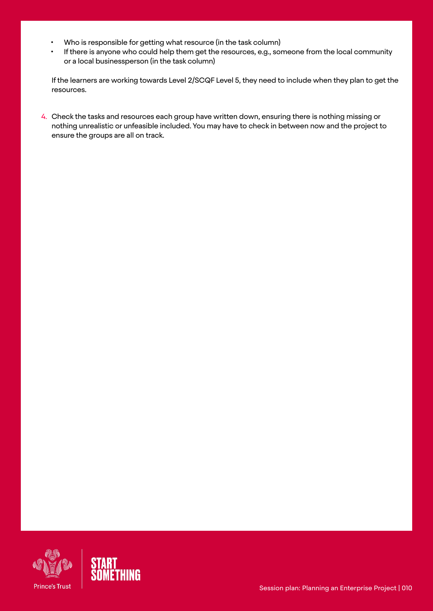- Who is responsible for getting what resource (in the task column)
- If there is anyone who could help them get the resources, e.g., someone from the local community or a local businessperson (in the task column)

If the learners are working towards Level 2/SCQF Level 5, they need to include when they plan to get the resources.

4. Check the tasks and resources each group have written down, ensuring there is nothing missing or nothing unrealistic or unfeasible included. You may have to check in between now and the project to ensure the groups are all on track.



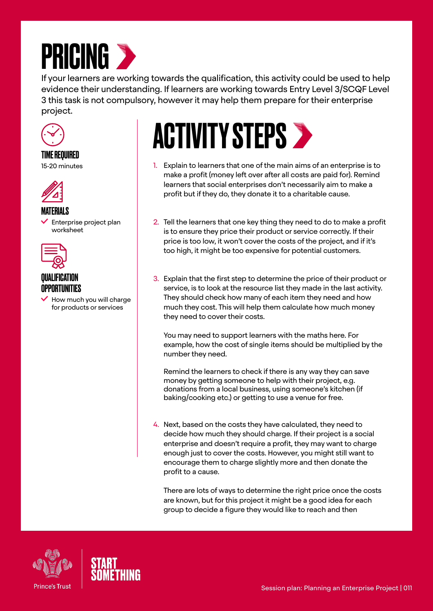<span id="page-10-0"></span>

If your learners are working towards the qualification, this activity could be used to help evidence their understanding. If learners are working towards Entry Level 3/SCQF Level 3 this task is not compulsory, however it may help them prepare for their enterprise project.



TIME REQUIRED 15-20 minutes



#### MATERIALS

 Enterprise project plan worksheet



#### *OUALIFICATION* OPPORTUNITIES

 How much you will charge for products or services

# **ACTIVITY STEPS >**

- 1. Explain to learners that one of the main aims of an enterprise is to make a profit (money left over after all costs are paid for). Remind learners that social enterprises don't necessarily aim to make a profit but if they do, they donate it to a charitable cause.
- 2. Tell the learners that one key thing they need to do to make a profit is to ensure they price their product or service correctly. If their price is too low, it won't cover the costs of the project, and if it's too high, it might be too expensive for potential customers.
- 3. Explain that the first step to determine the price of their product or service, is to look at the resource list they made in the last activity. They should check how many of each item they need and how much they cost. This will help them calculate how much money they need to cover their costs.

You may need to support learners with the maths here. For example, how the cost of single items should be multiplied by the number they need.

Remind the learners to check if there is any way they can save money by getting someone to help with their project, e.g. donations from a local business, using someone's kitchen (if baking/cooking etc.) or getting to use a venue for free.

4. Next, based on the costs they have calculated, they need to decide how much they should charge. If their project is a social enterprise and doesn't require a profit, they may want to charge enough just to cover the costs. However, you might still want to encourage them to charge slightly more and then donate the profit to a cause.

There are lots of ways to determine the right price once the costs are known, but for this project it might be a good idea for each group to decide a figure they would like to reach and then



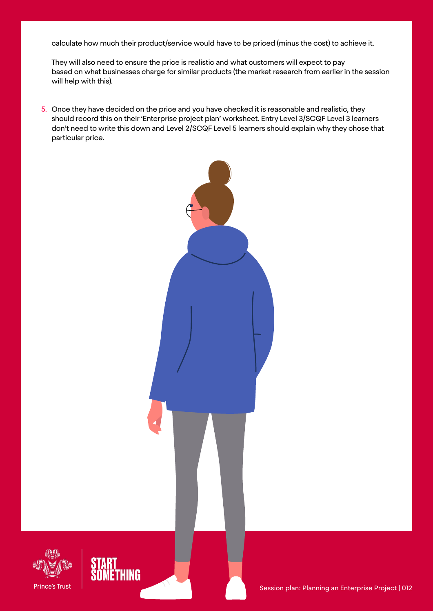calculate how much their product/service would have to be priced (minus the cost) to achieve it.

They will also need to ensure the price is realistic and what customers will expect to pay based on what businesses charge for similar products (the market research from earlier in the session will help with this).

5. Once they have decided on the price and you have checked it is reasonable and realistic, they should record this on their 'Enterprise project plan' worksheet. Entry Level 3/SCQF Level 3 learners don't need to write this down and Level 2/SCQF Level 5 learners should explain why they chose that particular price.